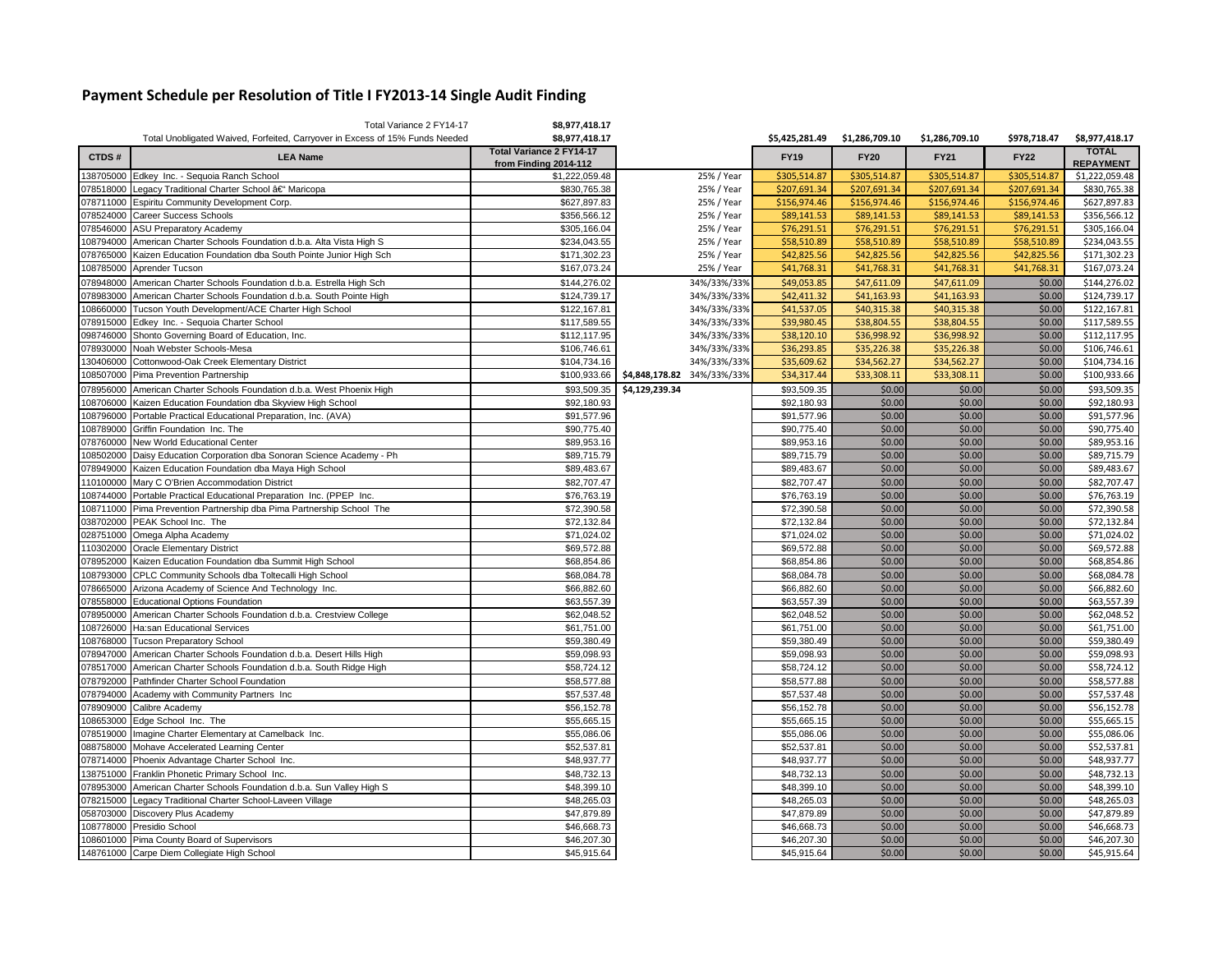## **Payment Schedule per Resolution of Title I FY2013-14 Single Audit Finding**

|           | Total Variance 2 FY14-17                                                     | \$8,977,418.17                  |                            |                |                |                |              |                  |
|-----------|------------------------------------------------------------------------------|---------------------------------|----------------------------|----------------|----------------|----------------|--------------|------------------|
|           | Total Unobligated Waived, Forfeited, Carryover in Excess of 15% Funds Needed | \$8,977,418.17                  |                            | \$5,425,281.49 | \$1,286,709.10 | \$1,286,709.10 | \$978,718.47 | \$8,977,418.17   |
| CTDS#     | <b>LEA Name</b>                                                              | <b>Total Variance 2 FY14-17</b> |                            | <b>FY19</b>    | <b>FY20</b>    | <b>FY21</b>    | <b>FY22</b>  | <b>TOTAL</b>     |
|           |                                                                              | from Finding 2014-112           |                            |                |                |                |              | <b>REPAYMENT</b> |
|           | 138705000 Edkey Inc. - Sequoia Ranch School                                  | \$1,222,059.48                  | 25% / Year                 | \$305,514.87   | \$305,514.87   | \$305,514.87   | \$305,514.87 | \$1,222,059.48   |
| 078518000 | Legacy Traditional Charter School †Maricopa                                  | \$830,765.38                    | 25% / Year                 | \$207,691.34   | \$207,691.34   | \$207,691.34   | \$207,691.34 | \$830,765.38     |
| 078711000 | Espiritu Community Development Corp.                                         | \$627,897.83                    | 25% / Year                 | \$156,974.46   | \$156,974.46   | \$156,974.46   | \$156,974.46 | \$627,897.83     |
| 078524000 | Career Success Schools                                                       | \$356,566.12                    | 25% / Year                 | \$89,141.53    | \$89,141.53    | \$89,141.53    | \$89,141.53  | \$356,566.12     |
| 078546000 | <b>ASU Preparatory Academy</b>                                               | \$305,166.04                    | 25% / Year                 | \$76,291.51    | \$76,291.51    | \$76,291.51    | \$76,291.51  | \$305,166.04     |
| 108794000 | American Charter Schools Foundation d.b.a. Alta Vista High S                 | \$234,043.55                    | 25% / Year                 | \$58,510.89    | \$58,510.89    | \$58,510.89    | \$58,510.89  | \$234,043.55     |
| 078765000 | Kaizen Education Foundation dba South Pointe Junior High Sch                 | \$171,302.23                    | 25% / Year                 | \$42,825.56    | \$42,825.56    | \$42,825.56    | \$42,825.56  | \$171,302.23     |
| 108785000 | Aprender Tucson                                                              | \$167,073.24                    | 25% / Year                 | \$41,768.31    | \$41,768.31    | \$41,768.31    | \$41,768.31  | \$167,073.24     |
| 078948000 | American Charter Schools Foundation d.b.a. Estrella High Sch                 | \$144,276.02                    | 34%/33%/33%                | \$49,053.85    | \$47,611.09    | \$47,611.09    | \$0.00       | \$144,276.02     |
| 078983000 | American Charter Schools Foundation d.b.a. South Pointe High                 | \$124,739.17                    | 34%/33%/33%                | \$42,411.32    | \$41,163.93    | \$41,163.93    | \$0.00       | \$124,739.17     |
| 08660000  | Tucson Youth Development/ACE Charter High School                             | \$122,167.81                    | 34%/33%/33%                | \$41,537.05    | \$40,315.38    | \$40,315.38    | \$0.00       | \$122,167.81     |
| 078915000 | Edkey Inc. - Sequoia Charter School                                          | \$117,589.55                    | 34%/33%/33%                | \$39,980.45    | \$38,804.55    | \$38,804.55    | \$0.00       | \$117,589.55     |
| 098746000 | Shonto Governing Board of Education, Inc.                                    | \$112,117.95                    | 34%/33%/33%                | \$38,120.10    | \$36,998.92    | \$36,998.92    | \$0.00       | \$112,117.95     |
| 078930000 | Noah Webster Schools-Mesa                                                    | \$106,746.61                    | 34%/33%/33%                | \$36,293.85    | \$35,226.38    | \$35,226.38    | \$0.00       | \$106,746.61     |
| 130406000 | Cottonwood-Oak Creek Elementary District                                     | \$104,734.16                    | 34%/33%/33%                | \$35,609.62    | \$34,562.27    | \$34,562.27    | \$0.00       | \$104,734.16     |
| 108507000 | Pima Prevention Partnership                                                  | \$100,933.66                    | \$4,848,178.82 34%/33%/33% | \$34,317.44    | \$33,308.11    | \$33,308.11    | \$0.00       | \$100,933.66     |
| 078956000 | American Charter Schools Foundation d.b.a. West Phoenix High                 | \$93,509.35                     | \$4,129,239.34             | \$93,509.35    | \$0.00         | \$0.00         | \$0.00       | \$93,509.35      |
| 108706000 | Kaizen Education Foundation dba Skyview High School                          | \$92,180.93                     |                            | \$92,180.93    | \$0.00         | \$0.00         | \$0.00       | \$92,180.93      |
| 108796000 | Portable Practical Educational Preparation, Inc. (AVA)                       | \$91,577.96                     |                            | \$91,577.96    | \$0.00         | \$0.00         | \$0.00       | \$91,577.96      |
| 108789000 | Griffin Foundation Inc. The                                                  | \$90,775.40                     |                            | \$90,775.40    | \$0.00         | \$0.00         | \$0.00       | \$90,775.40      |
| 078760000 | New World Educational Center                                                 | \$89,953.16                     |                            | \$89,953.16    | \$0.00         | \$0.00         | \$0.00       | \$89,953.16      |
| 108502000 | Daisy Education Corporation dba Sonoran Science Academy - Ph                 | \$89,715.79                     |                            | \$89,715.79    | \$0.00         | \$0.00         | \$0.00       | \$89,715.79      |
| 078949000 | Kaizen Education Foundation dba Maya High School                             | \$89,483.67                     |                            | \$89,483.67    | \$0.00         | \$0.00         | \$0.00       | \$89,483.67      |
| 110100000 | Mary C O'Brien Accommodation District                                        | \$82,707.47                     |                            | \$82,707.47    | \$0.00         | \$0.00         | \$0.00       | \$82,707.47      |
| 108744000 | Portable Practical Educational Preparation Inc. (PPEP Inc.                   | \$76,763.19                     |                            | \$76,763.19    | \$0.00         | \$0.00         | \$0.00       | \$76,763.19      |
| 08711000  | Pima Prevention Partnership dba Pima Partnership School The                  | \$72,390.58                     |                            | \$72,390.58    | \$0.00         | \$0.00         | \$0.00       | \$72,390.58      |
| 038702000 | PEAK School Inc. The                                                         | \$72,132.84                     |                            | \$72,132.84    | \$0.00         | \$0.00         | \$0.00       | \$72,132.84      |
| 028751000 | Omega Alpha Academy                                                          | \$71,024.02                     |                            | \$71,024.02    | \$0.00         | \$0.00         | \$0.00       | \$71,024.02      |
| 10302000  | <b>Oracle Elementary District</b>                                            | \$69,572.88                     |                            | \$69,572.88    | \$0.00         | \$0.00         | \$0.00       | \$69,572.88      |
| 078952000 | Kaizen Education Foundation dba Summit High School                           | \$68,854.86                     |                            | \$68,854.86    | \$0.00         | \$0.00         | \$0.00       | \$68,854.86      |
| 108793000 | CPLC Community Schools dba Toltecalli High School                            | \$68,084.78                     |                            | \$68,084.78    | \$0.00         | \$0.00         | \$0.00       | \$68,084.78      |
| 078665000 | Arizona Academy of Science And Technology Inc.                               | \$66,882.60                     |                            | \$66,882.60    | \$0.00         | \$0.00         | \$0.00       | \$66,882.60      |
| 078558000 | <b>Educational Options Foundation</b>                                        | \$63,557.39                     |                            | \$63,557.39    | \$0.00         | \$0.00         | \$0.00       | \$63,557.39      |
| 078950000 | American Charter Schools Foundation d.b.a. Crestview College                 | \$62,048.52                     |                            | \$62,048.52    | \$0.00         | \$0.00         | \$0.00       | \$62,048.52      |
| 08726000  | Ha:san Educational Services                                                  | \$61,751.00                     |                            | \$61,751.00    | \$0.00         | \$0.00         | \$0.00       | \$61,751.00      |
| 108768000 | <b>Tucson Preparatory School</b>                                             | \$59,380.49                     |                            | \$59,380.49    | \$0.00         | \$0.00         | \$0.00       | \$59,380.49      |
| 078947000 | American Charter Schools Foundation d.b.a. Desert Hills High                 | \$59,098.93                     |                            | \$59,098.93    | \$0.00         | \$0.00         | \$0.00       | \$59,098.93      |
| 078517000 | American Charter Schools Foundation d.b.a. South Ridge High                  | \$58,724.12                     |                            | \$58,724.12    | \$0.00         | \$0.00         | \$0.00       | \$58,724.12      |
| 078792000 | Pathfinder Charter School Foundation                                         | \$58,577.88                     |                            | \$58,577.88    | \$0.00         | \$0.00         | \$0.00       | \$58,577.88      |
| 078794000 | Academy with Community Partners Inc                                          | \$57,537.48                     |                            | \$57,537.48    | \$0.00         | \$0.00         | \$0.00       | \$57,537.48      |
| 078909000 | Calibre Academy                                                              | \$56,152.78                     |                            | \$56,152.78    | \$0.00         | \$0.00         | \$0.00       | \$56,152.78      |
| 108653000 | Edge School Inc. The                                                         | \$55,665.15                     |                            | \$55,665.15    | \$0.00         | \$0.00         | \$0.00       | \$55,665.15      |
| 078519000 | Imagine Charter Elementary at Camelback Inc.                                 | \$55,086.06                     |                            | \$55,086.06    | \$0.00         | \$0.00         | \$0.00       | \$55,086.06      |
| 088758000 | Mohave Accelerated Learning Center                                           | \$52,537.81                     |                            | \$52,537.81    | \$0.00         | \$0.00         | \$0.00       | \$52,537.81      |
| 078714000 | Phoenix Advantage Charter School Inc.                                        | \$48,937.77                     |                            | \$48,937.77    | \$0.00         | \$0.00         | \$0.00       | \$48,937.77      |
| 138751000 | Franklin Phonetic Primary School Inc.                                        | \$48,732.13                     |                            | \$48,732.13    | \$0.00         | \$0.00         | \$0.00       | \$48,732.13      |
| 078953000 | American Charter Schools Foundation d.b.a. Sun Valley High S                 | \$48,399.10                     |                            | \$48,399.10    | \$0.00         | \$0.00         | \$0.00       | \$48,399.10      |
| 078215000 | Legacy Traditional Charter School-Laveen Village                             | \$48,265.03                     |                            | \$48,265.03    | \$0.00         | \$0.00         | \$0.00       | \$48,265.03      |
| 058703000 | Discovery Plus Academy                                                       | \$47,879.89                     |                            | \$47,879.89    | \$0.00         | \$0.00         | \$0.00       | \$47,879.89      |
| 108778000 | Presidio School                                                              | \$46,668.73                     |                            | \$46,668.73    | \$0.00         | \$0.00         | \$0.00       | \$46,668.73      |
| 00010001  | Pima County Board of Supervisors                                             | \$46,207.30                     |                            | \$46,207.30    | \$0.00         | \$0.00         | \$0.00       | \$46,207.30      |
|           | 148761000 Carpe Diem Collegiate High School                                  | \$45,915.64                     |                            | \$45,915.64    | \$0.00         | \$0.00         | \$0.00       | \$45,915.64      |
|           |                                                                              |                                 |                            |                |                |                |              |                  |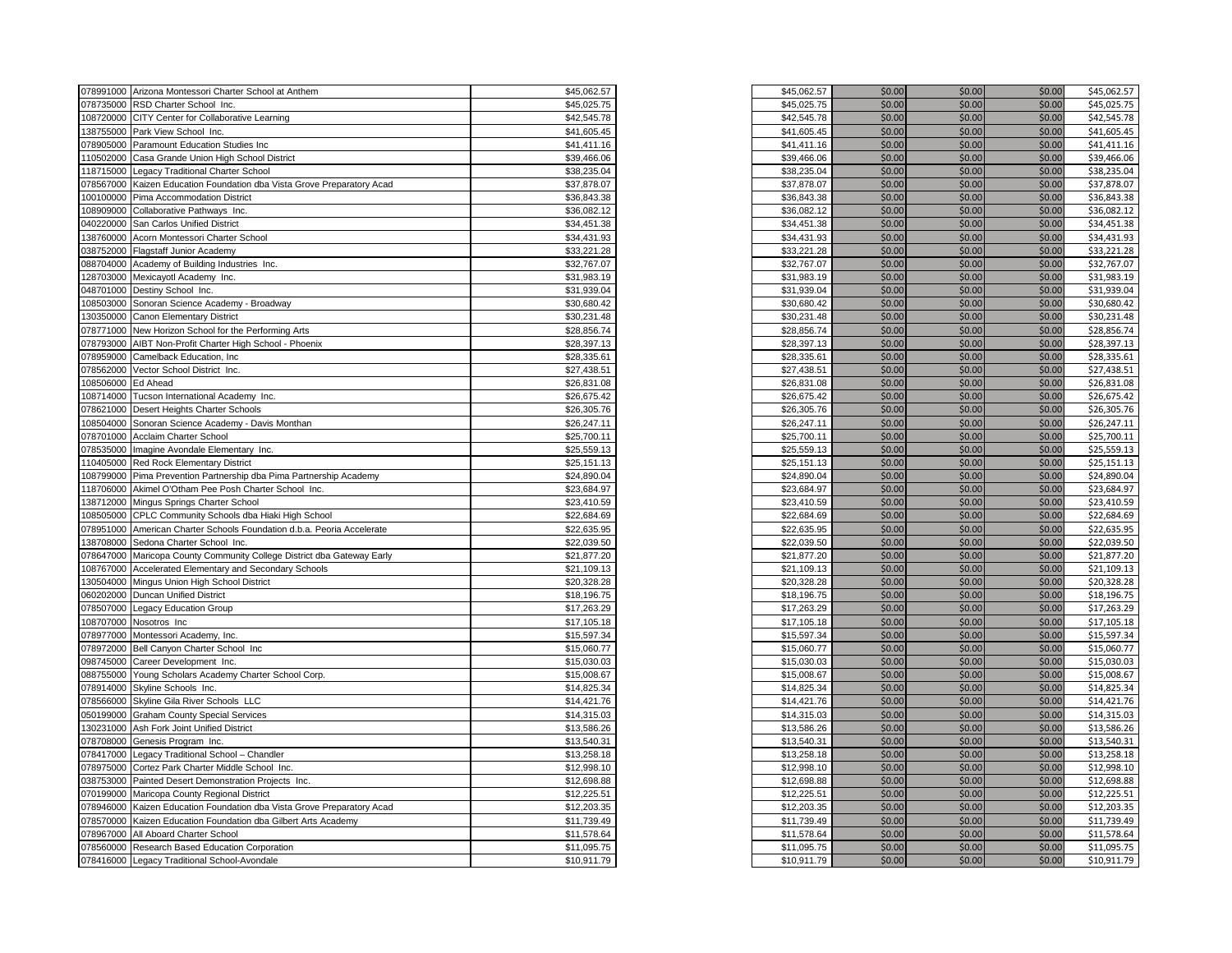| 078991000 Arizona Montessori Charter School at Anthem                                                                | \$45,062.57                | \$45,062.57                | \$0.00 | \$0.00           | \$0.00           | \$45,062.57                |
|----------------------------------------------------------------------------------------------------------------------|----------------------------|----------------------------|--------|------------------|------------------|----------------------------|
| 078735000 RSD Charter School Inc.                                                                                    | \$45,025.75                | \$45,025.75                | \$0.00 | \$0.00           | \$0.00           | \$45,025.75                |
| 108720000<br>CITY Center for Collaborative Learning                                                                  | \$42,545.78                | \$42,545.78                | \$0.00 | \$0.00           | \$0.00           | \$42,545.78                |
| 138755000<br>Park View School Inc.                                                                                   | \$41,605.45                | \$41,605.45                | \$0.00 | \$0.00           | \$0.00           | \$41,605.45                |
| 078905000<br>Paramount Education Studies Inc                                                                         | \$41,411.16                | \$41,411.16                | \$0.00 | \$0.00           | \$0.00           | \$41,411.16                |
| 110502000<br>Casa Grande Union High School District                                                                  | \$39,466.06                | \$39,466.06                | \$0.00 | \$0.00           | \$0.00           | \$39,466.06                |
| 118715000 Legacy Traditional Charter School                                                                          | \$38,235.04                | \$38,235.04                | \$0.00 | \$0.00           | \$0.00           | \$38,235.04                |
| 078567000<br>Kaizen Education Foundation dba Vista Grove Preparatory Acad                                            | \$37,878.07                | \$37,878.07                | \$0.00 | \$0.00           | \$0.00           | \$37,878.07                |
| 100100000<br>Pima Accommodation District                                                                             | \$36,843.38                | \$36,843.38                | \$0.00 | \$0.00           | \$0.00           | \$36,843.38                |
| 108909000<br>Collaborative Pathways Inc.                                                                             | \$36,082.12                | \$36,082.12                | \$0.00 | \$0.00           | \$0.00           | \$36,082.12                |
| 040220000 San Carlos Unified District                                                                                | \$34,451.38                | \$34,451.38                | \$0.00 | \$0.00           | \$0.00           | \$34,451.38                |
| 138760000<br>Acorn Montessori Charter School                                                                         | \$34,431.93                | \$34,431.93                | \$0.00 | \$0.00           | \$0.00           | \$34,431.93                |
| 038752000<br><b>Flagstaff Junior Academy</b>                                                                         | \$33,221.28                | \$33,221.28                | \$0.00 | \$0.00           | \$0.00           | \$33,221.28                |
| 088704000<br>Academy of Building Industries Inc.                                                                     | \$32,767.07                | \$32,767.07                | \$0.00 | \$0.00           | \$0.00           | \$32,767.07                |
| 128703000<br>Mexicayotl Academy Inc.                                                                                 | \$31,983.19                | \$31,983.19                | \$0.00 | \$0.00           | \$0.00           | \$31,983.19                |
| 048701000 Destiny School Inc.                                                                                        | \$31,939.04                | \$31,939.04                | \$0.00 | \$0.00           | \$0.00           | \$31,939.04                |
| 108503000 Sonoran Science Academy - Broadway                                                                         | \$30,680.42                | \$30,680.42                | \$0.00 | \$0.00           | \$0.00           | \$30,680.42                |
| 130350000 Canon Elementary District                                                                                  | \$30,231.48                | \$30,231.48                | \$0.00 | \$0.00           | \$0.00           | \$30,231.48                |
| 078771000<br>New Horizon School for the Performing Arts                                                              | \$28,856.74                | \$28,856.74                | \$0.00 | \$0.00           | \$0.00           | \$28,856.74                |
| 078793000 AIBT Non-Profit Charter High School - Phoenix                                                              | \$28,397.13                | \$28,397.13                | \$0.00 | \$0.00           | \$0.00           | \$28,397.13                |
| 078959000<br>Camelback Education, Inc.                                                                               | \$28,335.61                | \$28,335.61                | \$0.00 | \$0.00           | \$0.00           | \$28,335.61                |
|                                                                                                                      |                            |                            | \$0.00 | \$0.00           |                  | \$27,438.51                |
| 078562000<br>Vector School District Inc.                                                                             | \$27,438.51                | \$27,438.51                | \$0.00 |                  | \$0.00           |                            |
| 108506000<br>Ed Ahead                                                                                                | \$26,831.08                | \$26,831.08                | \$0.00 | \$0.00<br>\$0.00 | \$0.00<br>\$0.00 | \$26,831.08                |
| 108714000 Tucson International Academy Inc.                                                                          | \$26,675.42<br>\$26,305.76 | \$26,675.42<br>\$26,305.76 | \$0.00 | \$0.00           | \$0.00           | \$26,675.42<br>\$26,305.76 |
| 078621000<br>Desert Heights Charter Schools<br>108504000<br>Sonoran Science Academy - Davis Monthan                  | \$26,247.11                | \$26,247.11                | \$0.00 | \$0.00           | \$0.00           | \$26,247.11                |
|                                                                                                                      | \$25,700.11                |                            | \$0.00 | \$0.00           | \$0.00           | \$25,700.11                |
| 078701000 Acclaim Charter School                                                                                     | \$25,559.13                | \$25,700.11                | \$0.00 | \$0.00           | \$0.00           | \$25,559.13                |
| 078535000<br>Imagine Avondale Elementary Inc.                                                                        |                            | \$25,559.13                | \$0.00 | \$0.00           | \$0.00           | \$25,151.13                |
| 110405000 Red Rock Elementary District<br>108799000                                                                  | \$25,151.13<br>\$24,890.04 | \$25,151.13<br>\$24,890.04 | \$0.00 | \$0.00           | \$0.00           | \$24,890.04                |
| Pima Prevention Partnership dba Pima Partnership Academy<br>118706000<br>Akimel O'Otham Pee Posh Charter School Inc. | \$23,684.97                | \$23,684.97                | \$0.00 | \$0.00           | \$0.00           | \$23,684.97                |
| 138712000                                                                                                            | \$23,410.59                | \$23,410.59                | \$0.00 | \$0.00           | \$0.00           | \$23,410.59                |
| Mingus Springs Charter School<br>108505000                                                                           | \$22,684.69                |                            | \$0.00 | \$0.00           | \$0.00           | \$22,684.69                |
| CPLC Community Schools dba Hiaki High School<br>078951000                                                            | \$22,635.95                | \$22,684.69<br>\$22,635.95 | \$0.00 | \$0.00           | \$0.00           | \$22,635.95                |
| American Charter Schools Foundation d.b.a. Peoria Accelerate<br>138708000 Sedona Charter School Inc.                 | \$22,039.50                | \$22,039.50                | \$0.00 | \$0.00           | \$0.00           | \$22,039.50                |
| 078647000<br>Maricopa County Community College District dba Gateway Early                                            | \$21,877.20                | \$21,877.20                | \$0.00 | \$0.00           | \$0.00           | \$21,877.20                |
| 108767000<br>Accelerated Elementary and Secondary Schools                                                            | \$21,109.13                | \$21,109.13                | \$0.00 | \$0.00           | \$0.00           | \$21,109.13                |
| 130504000<br>Mingus Union High School District                                                                       | \$20,328.28                | \$20,328.28                | \$0.00 | \$0.00           | \$0.00           | \$20,328.28                |
| 060202000<br>Duncan Unified District                                                                                 | \$18,196.75                | \$18,196.75                | \$0.00 | \$0.00           | \$0.00           | \$18,196.75                |
| 078507000 Legacy Education Group                                                                                     | \$17,263.29                | \$17,263.29                | \$0.00 | \$0.00           | \$0.00           | \$17,263.29                |
| 108707000<br>Nosotros Inc                                                                                            | \$17,105.18                | \$17,105.18                | \$0.00 | \$0.00           | \$0.00           | \$17,105.18                |
| 078977000 Montessori Academy, Inc.                                                                                   | \$15,597.34                | \$15,597.34                | \$0.00 | \$0.00           | \$0.00           | \$15,597.34                |
| 078972000 Bell Canyon Charter School Inc                                                                             | \$15,060.77                | \$15,060.77                | \$0.00 | \$0.00           | \$0.00           | \$15,060.77                |
| 098745000<br>Career Development Inc.                                                                                 | \$15,030.03                | \$15,030.03                | \$0.00 | \$0.00           | \$0.00           | \$15,030.03                |
| 088755000<br>Young Scholars Academy Charter School Corp.                                                             | \$15,008.67                | \$15,008.67                | \$0.00 | \$0.00           | \$0.00           | \$15,008.67                |
| 078914000 Skyline Schools Inc.                                                                                       | \$14,825.34                | \$14,825.34                | \$0.00 | \$0.00           | \$0.00           | \$14,825.34                |
| 078566000<br>Skyline Gila River Schools LLC                                                                          | \$14,421.76                | \$14,421.76                | \$0.00 | \$0.00           | \$0.00           | \$14,421.76                |
| <b>Graham County Special Services</b><br>050199000                                                                   | \$14,315.03                | \$14,315.03                | \$0.00 | \$0.00           | \$0.00           | \$14,315.03                |
| 130231000<br>Ash Fork Joint Unified District                                                                         | \$13,586.26                | \$13,586.26                | \$0.00 | \$0.00           | \$0.00           | \$13,586.26                |
| 078708000<br>Genesis Program Inc.                                                                                    | \$13,540.31                | \$13,540.31                | \$0.00 | \$0.00           | \$0.00           | \$13,540.31                |
| 078417000<br>Legacy Traditional School - Chandler                                                                    | \$13,258.18                | \$13,258.18                | \$0.00 | \$0.00           | \$0.00           | \$13,258.18                |
| 078975000<br>Cortez Park Charter Middle School Inc.                                                                  | \$12,998.10                | \$12,998.10                | \$0.00 | \$0.00           | \$0.00           | \$12,998.10                |
| 038753000<br>Painted Desert Demonstration Projects Inc.                                                              | \$12,698.88                | \$12,698.88                | \$0.00 | \$0.00           | \$0.00           | \$12,698.88                |
| 070199000<br>Maricopa County Regional District                                                                       | \$12,225.51                | \$12,225.51                | \$0.00 | \$0.00           | \$0.00           | \$12,225.51                |
| 078946000<br>Kaizen Education Foundation dba Vista Grove Preparatory Acad                                            | \$12,203.35                | \$12,203.35                | \$0.00 | \$0.00           | \$0.00           | \$12,203.35                |
| 078570000<br>Kaizen Education Foundation dba Gilbert Arts Academy                                                    | \$11,739.49                | \$11,739.49                | \$0.00 | \$0.00           | \$0.00           | \$11,739.49                |
| 078967000<br>All Aboard Charter School                                                                               | \$11,578.64                | \$11,578.64                | \$0.00 | \$0.00           | \$0.00           | \$11,578.64                |
| 078560000 Research Based Education Corporation                                                                       | \$11,095.75                | \$11,095.75                | \$0.00 | \$0.00           | \$0.00           | \$11,095.75                |
| 078416000 Legacy Traditional School-Avondale                                                                         | \$10,911.79                | \$10,911.79                | \$0.00 | \$0.00           | \$0.00           | \$10,911.79                |
|                                                                                                                      |                            |                            |        |                  |                  |                            |

| \$45,062.57 | \$0.00 | \$0.00 | \$0.00 | \$45,062.57 |
|-------------|--------|--------|--------|-------------|
| \$45,025.75 | \$0.00 | \$0.00 | \$0.00 | \$45,025.75 |
| \$42,545.78 | \$0.00 | \$0.00 | \$0.00 | \$42,545.78 |
| \$41,605.45 | \$0.00 | \$0.00 | \$0.00 | \$41,605.45 |
| \$41,411.16 | \$0.00 | \$0.00 | \$0.00 | \$41,411.16 |
| \$39,466.06 | \$0.00 | \$0.00 | \$0.00 | \$39,466.06 |
| \$38,235.04 | \$0.00 | \$0.00 | \$0.00 | \$38,235.04 |
|             |        |        |        |             |
| \$37,878.07 | \$0.00 | \$0.00 | \$0.00 | \$37,878.07 |
| \$36,843.38 | \$0.00 | \$0.00 | \$0.00 | \$36,843.38 |
| \$36,082.12 | \$0.00 | \$0.00 | \$0.00 | \$36,082.12 |
| \$34,451.38 | \$0.00 | \$0.00 | \$0.00 | \$34,451.38 |
| \$34,431.93 | \$0.00 | \$0.00 | \$0.00 | \$34,431.93 |
| \$33,221.28 | \$0.00 | \$0.00 | \$0.00 | \$33,221.28 |
| \$32,767.07 | \$0.00 | \$0.00 | \$0.00 | \$32,767.07 |
| \$31,983.19 | \$0.00 | \$0.00 | \$0.00 | \$31,983.19 |
| \$31,939.04 | \$0.00 | \$0.00 | \$0.00 | \$31,939.04 |
| \$30,680.42 | \$0.00 | \$0.00 | \$0.00 | \$30,680.42 |
| \$30,231.48 | \$0.00 | \$0.00 | \$0.00 | \$30,231.48 |
| \$28,856.74 | \$0.00 | \$0.00 | \$0.00 | \$28,856.74 |
| \$28,397.13 | \$0.00 | \$0.00 | \$0.00 | \$28,397.13 |
| \$28,335.61 | \$0.00 | \$0.00 | \$0.00 | \$28,335.61 |
| \$27,438.51 | \$0.00 | \$0.00 | \$0.00 | \$27,438.51 |
| \$26,831.08 | \$0.00 | \$0.00 | \$0.00 | \$26,831.08 |
| \$26,675.42 | \$0.00 | \$0.00 | \$0.00 | \$26,675.42 |
| \$26,305.76 | \$0.00 | \$0.00 | \$0.00 | \$26,305.76 |
| \$26,247.11 | \$0.00 | \$0.00 | \$0.00 | \$26,247.11 |
| \$25,700.11 | \$0.00 | \$0.00 | \$0.00 | \$25,700.11 |
|             |        | \$0.00 |        |             |
| \$25,559.13 | \$0.00 |        | \$0.00 | \$25,559.13 |
| \$25,151.13 | \$0.00 | \$0.00 | \$0.00 | \$25,151.13 |
| \$24,890.04 | \$0.00 | \$0.00 | \$0.00 | \$24,890.04 |
| \$23,684.97 | \$0.00 | \$0.00 | \$0.00 | \$23,684.97 |
| \$23,410.59 | \$0.00 | \$0.00 | \$0.00 | \$23,410.59 |
| \$22,684.69 | \$0.00 | \$0.00 | \$0.00 | \$22,684.69 |
| \$22,635.95 | \$0.00 | \$0.00 | \$0.00 | \$22,635.95 |
| \$22,039.50 | \$0.00 | \$0.00 | \$0.00 | \$22,039.50 |
| \$21,877.20 | \$0.00 | \$0.00 | \$0.00 | \$21,877.20 |
| \$21,109.13 | \$0.00 | \$0.00 | \$0.00 | \$21,109.13 |
| \$20,328.28 | \$0.00 | \$0.00 | \$0.00 | \$20,328.28 |
| \$18,196.75 | \$0.00 | \$0.00 | \$0.00 | \$18,196.75 |
| \$17,263.29 | \$0.00 | \$0.00 | \$0.00 | \$17,263.29 |
| \$17,105.18 | \$0.00 | \$0.00 | \$0.00 | \$17,105.18 |
| \$15,597.34 | \$0.00 | \$0.00 | \$0.00 | \$15,597.34 |
| \$15,060.77 | \$0.00 | \$0.00 | \$0.00 | \$15,060.77 |
| \$15,030.03 | \$0.00 | \$0.00 | \$0.00 | \$15,030.03 |
| \$15,008.67 | \$0.00 | \$0.00 | \$0.00 | \$15,008.67 |
| \$14,825.34 | \$0.00 | \$0.00 | \$0.00 | \$14,825.34 |
| \$14,421.76 | \$0.00 | \$0.00 | \$0.00 | \$14,421.76 |
| \$14,315.03 | \$0.00 | \$0.00 | \$0.00 | \$14,315.03 |
| \$13,586.26 | \$0.00 | \$0.00 | \$0.00 | \$13,586.26 |
| \$13,540.31 | \$0.00 | \$0.00 | \$0.00 | \$13,540.31 |
|             |        |        |        |             |
| \$13,258.18 | \$0.00 | \$0.00 | \$0.00 | \$13,258.18 |
| \$12,998.10 | \$0.00 | \$0.00 | \$0.00 | \$12,998.10 |
| \$12,698.88 | \$0.00 | \$0.00 | \$0.00 | \$12,698.88 |
| \$12,225.51 | \$0.00 | \$0.00 | \$0.00 | \$12,225.51 |
| \$12,203.35 | \$0.00 | \$0.00 | \$0.00 | \$12,203.35 |
| \$11,739.49 | \$0.00 | \$0.00 | \$0.00 | \$11,739.49 |
| \$11,578.64 | \$0.00 | \$0.00 | \$0.00 | \$11,578.64 |
| \$11,095.75 | \$0.00 | \$0.00 | \$0.00 | \$11,095.75 |
| \$10,911.79 | \$0.00 | \$0.00 | \$0.00 | \$10,911.79 |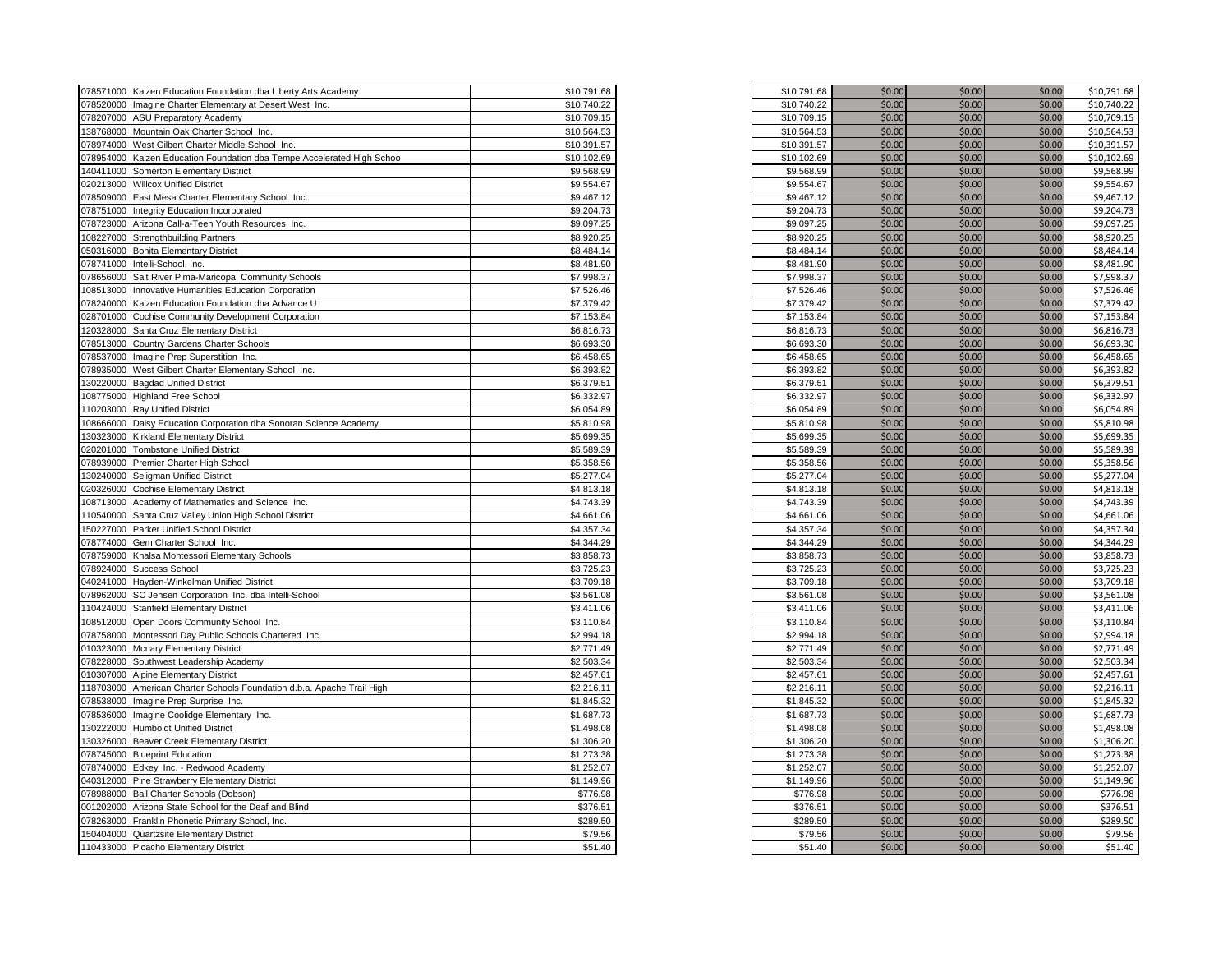|           | 078571000 Kaizen Education Foundation dba Liberty Arts Academy         | \$10,791.68 | \$10,791.68 | \$0.00 | \$0.00 | \$0.00 | \$10,791.68 |
|-----------|------------------------------------------------------------------------|-------------|-------------|--------|--------|--------|-------------|
|           | 078520000 Imagine Charter Elementary at Desert West Inc.               | \$10,740.22 | \$10,740.22 | \$0.00 | \$0.00 | \$0.00 | \$10,740.22 |
|           | 078207000 ASU Preparatory Academy                                      | \$10,709.15 | \$10,709.15 | \$0.00 | \$0.00 | \$0.00 | \$10,709.15 |
|           | 138768000 Mountain Oak Charter School Inc.                             | \$10,564.53 | \$10,564.53 | \$0.00 | \$0.00 | \$0.00 | \$10,564.53 |
|           | 078974000 West Gilbert Charter Middle School Inc.                      | \$10,391.57 | \$10,391.57 | \$0.00 | \$0.00 | \$0.00 | \$10,391.57 |
|           | 078954000 Kaizen Education Foundation dba Tempe Accelerated High Schoo | \$10,102.69 | \$10,102.69 | \$0.00 | \$0.00 | \$0.00 | \$10,102.69 |
|           | 140411000 Somerton Elementary District                                 | \$9,568.99  | \$9,568.99  | \$0.00 | \$0.00 | \$0.00 | \$9,568.99  |
|           | 020213000 Willcox Unified District                                     | \$9,554.67  | \$9,554.67  | \$0.00 | \$0.00 | \$0.00 | \$9,554.67  |
|           | 078509000 East Mesa Charter Elementary School Inc.                     | \$9,467.12  | \$9,467.12  | \$0.00 | \$0.00 | \$0.00 | \$9,467.12  |
|           | 078751000 Integrity Education Incorporated                             | \$9,204.73  | \$9,204.73  | \$0.00 | \$0.00 | \$0.00 | \$9,204.73  |
|           | 078723000 Arizona Call-a-Teen Youth Resources Inc.                     | \$9,097.25  | \$9,097.25  | \$0.00 | \$0.00 | \$0.00 | \$9,097.25  |
|           | 108227000 Strengthbuilding Partners                                    | \$8,920.25  | \$8,920.25  | \$0.00 | \$0.00 | \$0.00 | \$8,920.25  |
|           | 050316000 Bonita Elementary District                                   | \$8,484.14  | \$8,484.14  | \$0.00 | \$0.00 | \$0.00 | \$8,484.14  |
|           | 078741000 Intelli-School, Inc.                                         | \$8,481.90  | \$8,481.90  | \$0.00 | \$0.00 | \$0.00 | \$8,481.90  |
|           | 078656000 Salt River Pima-Maricopa Community Schools                   | \$7,998.37  | \$7,998.37  | \$0.00 | \$0.00 | \$0.00 | \$7,998.37  |
|           | 108513000 Innovative Humanities Education Corporation                  | \$7,526.46  | \$7,526.46  | \$0.00 | \$0.00 | \$0.00 | \$7,526.46  |
|           | 078240000 Kaizen Education Foundation dba Advance U                    | \$7,379.42  | \$7,379.42  | \$0.00 | \$0.00 | \$0.00 | \$7,379.42  |
|           |                                                                        |             |             |        | \$0.00 |        |             |
|           | 028701000 Cochise Community Development Corporation                    | \$7,153.84  | \$7,153.84  | \$0.00 |        | \$0.00 | \$7,153.84  |
|           | 120328000 Santa Cruz Elementary District                               | \$6,816.73  | \$6,816.73  | \$0.00 | \$0.00 | \$0.00 | \$6,816.73  |
|           | 78513000 Country Gardens Charter Schools                               | \$6,693.30  | \$6,693.30  | \$0.00 | \$0.00 | \$0.00 | \$6,693.30  |
|           | 078537000 Imagine Prep Superstition Inc.                               | \$6,458.65  | \$6,458.65  | \$0.00 | \$0.00 | \$0.00 | \$6,458.65  |
|           | 078935000 West Gilbert Charter Elementary School Inc.                  | \$6,393.82  | \$6,393.82  | \$0.00 | \$0.00 | \$0.00 | \$6,393.82  |
|           | 130220000 Bagdad Unified District                                      | \$6,379.51  | \$6,379.51  | \$0.00 | \$0.00 | \$0.00 | \$6,379.51  |
|           | 08775000 Highland Free School                                          | \$6,332.97  | \$6,332.97  | \$0.00 | \$0.00 | \$0.00 | \$6,332.97  |
|           | 110203000 Ray Unified District                                         | \$6,054.89  | \$6,054.89  | \$0.00 | \$0.00 | \$0.00 | \$6,054.89  |
|           | 08666000 Daisy Education Corporation dba Sonoran Science Academy       | \$5,810.98  | \$5,810.98  | \$0.00 | \$0.00 | \$0.00 | \$5,810.98  |
|           | 30323000 Kirkland Elementary District                                  | \$5,699.35  | \$5,699.35  | \$0.00 | \$0.00 | \$0.00 | \$5,699.35  |
|           | 020201000 Tombstone Unified District                                   | \$5,589.39  | \$5,589.39  | \$0.00 | \$0.00 | \$0.00 | \$5,589.39  |
|           | 078939000 Premier Charter High School                                  | \$5,358.56  | \$5,358.56  | \$0.00 | \$0.00 | \$0.00 | \$5,358.56  |
|           | 130240000 Seligman Unified District                                    | \$5,277.04  | \$5,277.04  | \$0.00 | \$0.00 | \$0.00 | \$5,277.04  |
|           | 020326000 Cochise Elementary District                                  | \$4,813.18  | \$4,813.18  | \$0.00 | \$0.00 | \$0.00 | \$4,813.18  |
|           | 108713000 Academy of Mathematics and Science Inc.                      | \$4,743.39  | \$4,743.39  | \$0.00 | \$0.00 | \$0.00 | \$4,743.39  |
|           | 110540000 Santa Cruz Valley Union High School District                 | \$4,661.06  | \$4,661.06  | \$0.00 | \$0.00 | \$0.00 | \$4,661.06  |
|           | 50227000 Parker Unified School District                                | \$4,357.34  | \$4,357.34  | \$0.00 | \$0.00 | \$0.00 | \$4,357.34  |
|           | 078774000 Gem Charter School Inc.                                      | \$4,344.29  | \$4,344.29  | \$0.00 | \$0.00 | \$0.00 | \$4,344.29  |
|           | 078759000 Khalsa Montessori Elementary Schools                         | \$3,858.73  | \$3,858.73  | \$0.00 | \$0.00 | \$0.00 | \$3,858.73  |
|           | 078924000 Success School                                               | \$3,725.23  | \$3,725.23  | \$0.00 | \$0.00 | \$0.00 | \$3,725.23  |
|           | 040241000 Hayden-Winkelman Unified District                            | \$3,709.18  | \$3,709.18  | \$0.00 | \$0.00 | \$0.00 | \$3,709.18  |
|           | 078962000 SC Jensen Corporation Inc. dba Intelli-School                | \$3,561.08  | \$3,561.08  | \$0.00 | \$0.00 | \$0.00 | \$3,561.08  |
|           | 110424000 Stanfield Elementary District                                | \$3,411.06  | \$3,411.06  | \$0.00 | \$0.00 | \$0.00 | \$3,411.06  |
|           | 08512000 Open Doors Community School Inc.                              | \$3,110.84  | \$3,110.84  | \$0.00 | \$0.00 | \$0.00 | \$3,110.84  |
|           | 078758000 Montessori Day Public Schools Chartered Inc.                 | \$2,994.18  | \$2,994.18  | \$0.00 | \$0.00 | \$0.00 | \$2,994.18  |
|           | 010323000 Mcnary Elementary District                                   | \$2,771.49  | \$2,771.49  | \$0.00 | \$0.00 | \$0.00 | \$2,771.49  |
| 078228000 | Southwest Leadership Academy                                           | \$2,503.34  | \$2,503.34  | \$0.00 | \$0.00 | \$0.00 | \$2,503.34  |
|           | 010307000 Alpine Elementary District                                   | \$2,457.61  | \$2,457.61  | \$0.00 | \$0.00 | \$0.00 | \$2,457.61  |
|           | 118703000 American Charter Schools Foundation d.b.a. Apache Trail High | \$2,216.11  | \$2,216.11  | \$0.00 | \$0.00 | \$0.00 | \$2,216.11  |
|           | 078538000 Imagine Prep Surprise Inc.                                   | \$1,845.32  | \$1,845.32  | \$0.00 | \$0.00 | \$0.00 | \$1,845.32  |
|           |                                                                        |             |             |        |        |        |             |
|           | 178536000 Imagine Coolidge Elementary Inc.                             | \$1,687.73  | \$1,687.73  | \$0.00 | \$0.00 | \$0.00 | \$1,687.73  |
|           | 130222000 Humboldt Unified District                                    | \$1,498.08  | \$1,498.08  | \$0.00 | \$0.00 | \$0.00 | \$1,498.08  |
|           | 130326000 Beaver Creek Elementary District                             | \$1,306.20  | \$1,306.20  | \$0.00 | \$0.00 | \$0.00 | \$1,306.20  |
|           | 078745000 Blueprint Education                                          | \$1,273.38  | \$1,273.38  | \$0.00 | \$0.00 | \$0.00 | \$1,273.38  |
|           | 078740000 Edkey Inc. - Redwood Academy                                 | \$1,252.07  | \$1,252.07  | \$0.00 | \$0.00 | \$0.00 | \$1,252.07  |
|           | 040312000 Pine Strawberry Elementary District                          | \$1,149.96  | \$1,149.96  | \$0.00 | \$0.00 | \$0.00 | \$1,149.96  |
|           | 078988000 Ball Charter Schools (Dobson)                                | \$776.98    | \$776.98    | \$0.00 | \$0.00 | \$0.00 | \$776.98    |
|           | 001202000 Arizona State School for the Deaf and Blind                  | \$376.51    | \$376.51    | \$0.00 | \$0.00 | \$0.00 | \$376.51    |
|           | 078263000 Franklin Phonetic Primary School, Inc.                       | \$289.50    | \$289.50    | \$0.00 | \$0.00 | \$0.00 | \$289.50    |
|           | 150404000 Quartzsite Elementary District                               | \$79.56     | \$79.56     | \$0.00 | \$0.00 | \$0.00 | \$79.56     |
|           | 110433000 Picacho Elementary District                                  | \$51.40     | \$51.40     | \$0.00 | \$0.00 | \$0.00 | \$51.40     |
|           |                                                                        |             |             |        |        |        |             |

| \$10,791.68 | \$0.00 | \$0.00 | \$0.00 | \$10,791.68 |
|-------------|--------|--------|--------|-------------|
| \$10,740.22 | \$0.00 | \$0.00 | \$0.00 | \$10,740.22 |
| \$10,709.15 | \$0.00 | \$0.00 | \$0.00 | \$10,709.15 |
| \$10,564.53 | \$0.00 | \$0.00 | \$0.00 | \$10,564.53 |
| \$10,391.57 | \$0.00 | \$0.00 | \$0.00 | \$10,391.57 |
| \$10,102.69 | \$0.00 | \$0.00 | \$0.00 | \$10,102.69 |
| \$9,568.99  | \$0.00 | \$0.00 | \$0.00 | \$9,568.99  |
| \$9,554.67  | \$0.00 | \$0.00 | \$0.00 | \$9,554.67  |
| \$9,467.12  | \$0.00 | \$0.00 | \$0.00 | \$9,467.12  |
| \$9,204.73  | \$0.00 | \$0.00 | \$0.00 | \$9,204.73  |
| \$9,097.25  | \$0.00 | \$0.00 | \$0.00 | \$9,097.25  |
| \$8,920.25  | \$0.00 | \$0.00 | \$0.00 | \$8,920.25  |
| \$8,484.14  | \$0.00 | \$0.00 | \$0.00 | \$8,484.14  |
| \$8,481.90  | \$0.00 | \$0.00 | \$0.00 | \$8,481.90  |
| \$7,998.37  | \$0.00 | \$0.00 | \$0.00 | \$7,998.37  |
| \$7,526.46  | \$0.00 | \$0.00 | \$0.00 | \$7,526.46  |
| \$7,379.42  | \$0.00 | \$0.00 | \$0.00 | \$7,379.42  |
| \$7,153.84  | \$0.00 | \$0.00 | \$0.00 | \$7,153.84  |
|             |        |        |        |             |
| \$6,816.73  | \$0.00 | \$0.00 | \$0.00 | \$6,816.73  |
| \$6,693.30  | \$0.00 | \$0.00 | \$0.00 | \$6,693.30  |
| \$6,458.65  | \$0.00 | \$0.00 | \$0.00 | \$6,458.65  |
| \$6,393.82  | \$0.00 | \$0.00 | \$0.00 | \$6,393.82  |
| \$6,379.51  | \$0.00 | \$0.00 | \$0.00 | \$6,379.51  |
| \$6,332.97  | \$0.00 | \$0.00 | \$0.00 | \$6,332.97  |
| \$6,054.89  | \$0.00 | \$0.00 | \$0.00 | \$6,054.89  |
| \$5,810.98  | \$0.00 | \$0.00 | \$0.00 | \$5,810.98  |
| \$5,699.35  | \$0.00 | \$0.00 | \$0.00 | \$5,699.35  |
| \$5,589.39  | \$0.00 | \$0.00 | \$0.00 | \$5,589.39  |
| \$5,358.56  | \$0.00 | \$0.00 | \$0.00 | \$5,358.56  |
| \$5,277.04  | \$0.00 | \$0.00 | \$0.00 | \$5,277.04  |
| \$4,813.18  | \$0.00 | \$0.00 | \$0.00 | \$4,813.18  |
| \$4,743.39  | \$0.00 | \$0.00 | \$0.00 | \$4,743.39  |
| \$4,661.06  | \$0.00 | \$0.00 | \$0.00 | \$4,661.06  |
| \$4,357.34  | \$0.00 | \$0.00 | \$0.00 | \$4,357.34  |
| \$4,344.29  | \$0.00 | \$0.00 | \$0.00 | \$4,344.29  |
| \$3,858.73  | \$0.00 | \$0.00 | \$0.00 | \$3,858.73  |
| \$3,725.23  | \$0.00 | \$0.00 | \$0.00 | \$3,725.23  |
| \$3,709.18  | \$0.00 | \$0.00 | \$0.00 | \$3,709.18  |
| \$3,561.08  | \$0.00 | \$0.00 | \$0.00 | \$3,561.08  |
| \$3,411.06  | \$0.00 | \$0.00 | \$0.00 | \$3,411.06  |
| \$3,110.84  | \$0.00 | \$0.00 | \$0.00 | \$3,110.84  |
| \$2,994.18  | \$0.00 | \$0.00 | \$0.00 | \$2,994.18  |
| \$2,771.49  | \$0.00 | \$0.00 | \$0.00 | \$2,771.49  |
| \$2,503.34  | \$0.00 | \$0.00 | \$0.00 | \$2,503.34  |
| \$2,457.61  | \$0.00 | \$0.00 | \$0.00 | \$2,457.61  |
| \$2,216.11  | \$0.00 | \$0.00 | \$0.00 | \$2,216.11  |
| \$1,845.32  | \$0.00 | \$0.00 | \$0.00 | \$1,845.32  |
| \$1,687.73  | \$0.00 | \$0.00 | \$0.00 | \$1,687.73  |
| \$1,498.08  | \$0.00 | \$0.00 | \$0.00 | \$1,498.08  |
| \$1,306.20  | \$0.00 | \$0.00 | \$0.00 | \$1,306.20  |
| \$1,273.38  | \$0.00 | \$0.00 | \$0.00 | \$1,273.38  |
| \$1,252.07  | \$0.00 | \$0.00 | \$0.00 | \$1,252.07  |
| \$1,149.96  | \$0.00 | \$0.00 | \$0.00 | \$1,149.96  |
| \$776.98    | \$0.00 | \$0.00 | \$0.00 | \$776.98    |
| \$376.51    | \$0.00 | \$0.00 | \$0.00 | \$376.51    |
| \$289.50    | \$0.00 | \$0.00 | \$0.00 | \$289.50    |
| \$79.56     | \$0.00 | \$0.00 | \$0.00 | \$79.56     |
| \$51.40     | \$0.00 | \$0.00 | \$0.00 | \$51.40     |
|             |        |        |        |             |